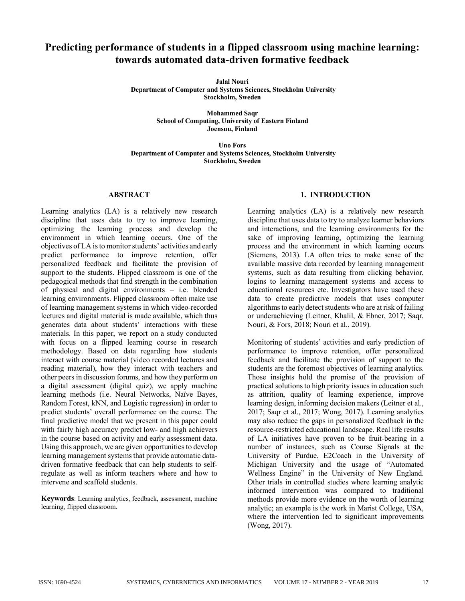# **Predicting performance of students in a flipped classroom using machine learning: towards automated data-driven formative feedback**

**Jalal Nouri Department of Computer and Systems Sciences, Stockholm University Stockholm, Sweden**

> **Mohammed Saqr School of Computing, University of Eastern Finland Joensuu, Finland**

**Uno Fors Department of Computer and Systems Sciences, Stockholm University Stockholm, Sweden**

## **ABSTRACT**

Learning analytics (LA) is a relatively new research discipline that uses data to try to improve learning, optimizing the learning process and develop the environment in which learning occurs. One of the objectives of LA is to monitor students' activities and early predict performance to improve retention, offer personalized feedback and facilitate the provision of support to the students. Flipped classroom is one of the pedagogical methods that find strength in the combination of physical and digital environments – i.e. blended learning environments. Flipped classroom often make use of learning management systems in which video-recorded lectures and digital material is made available, which thus generates data about students' interactions with these materials. In this paper, we report on a study conducted with focus on a flipped learning course in research methodology. Based on data regarding how students interact with course material (video recorded lectures and reading material), how they interact with teachers and other peers in discussion forums, and how they perform on a digital assessment (digital quiz), we apply machine learning methods (i.e. Neural Networks, Naïve Bayes, Random Forest, kNN, and Logistic regression) in order to predict students' overall performance on the course. The final predictive model that we present in this paper could with fairly high accuracy predict low- and high achievers in the course based on activity and early assessment data. Using this approach, we are given opportunities to develop learning management systems that provide automatic datadriven formative feedback that can help students to selfregulate as well as inform teachers where and how to intervene and scaffold students.

**Keywords**: Learning analytics, feedback, assessment, machine learning, flipped classroom.

# **1. INTRODUCTION**

Learning analytics (LA) is a relatively new research discipline that uses data to try to analyze learner behaviors and interactions, and the learning environments for the sake of improving learning, optimizing the learning process and the environment in which learning occurs (Siemens, 2013). LA often tries to make sense of the available massive data recorded by learning management systems, such as data resulting from clicking behavior, logins to learning management systems and access to educational resources etc. Investigators have used these data to create predictive models that uses computer algorithmsto early detect students who are at risk of failing or underachieving (Leitner, Khalil, & Ebner, 2017; Saqr, Nouri, & Fors, 2018; Nouri et al., 2019).

Monitoring of students' activities and early prediction of performance to improve retention, offer personalized feedback and facilitate the provision of support to the students are the foremost objectives of learning analytics. Those insights hold the promise of the provision of practical solutionsto high priority issues in education such as attrition, quality of learning experience, improve learning design, informing decision makers (Leitner et al., 2017; Saqr et al., 2017; Wong, 2017). Learning analytics may also reduce the gaps in personalized feedback in the resource-restricted educational landscape. Real life results of LA initiatives have proven to be fruit-bearing in a number of instances, such as Course Signals at the University of Purdue, E2Coach in the University of Michigan University and the usage of "Automated Wellness Engine" in the University of New England. Other trials in controlled studies where learning analytic informed intervention was compared to traditional methods provide more evidence on the worth of learning analytic; an example is the work in Marist College, USA, where the intervention led to significant improvements (Wong, 2017).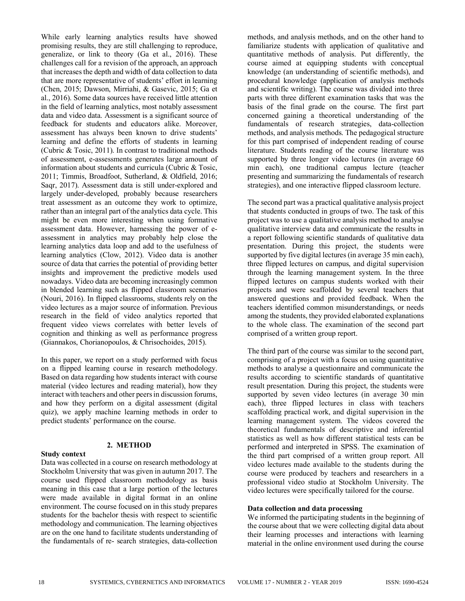While early learning analytics results have showed promising results, they are still challenging to reproduce, generalize, or link to theory (Ga et al., 2016). These challenges call for a revision of the approach, an approach that increasesthe depth and width of data collection to data that are more representative of students' effort in learning (Chen, 2015; Dawson, Mirriahi, & Gasevic, 2015; Ga et al., 2016). Some data sources have received little attention in the field of learning analytics, most notably assessment data and video data. Assessment is a significant source of feedback for students and educators alike. Moreover, assessment has always been known to drive students' learning and define the efforts of students in learning (Cubric & Tosic, 2011). In contrast to traditional methods of assessment, e-assessments generates large amount of information about students and curricula (Cubric & Tosic, 2011; Timmis, Broadfoot, Sutherland, & Oldfield, 2016; Saqr, 2017). Assessment data is still under-explored and largely under-developed, probably because researchers treat assessment as an outcome they work to optimize, rather than an integral part of the analytics data cycle. This might be even more interesting when using formative assessment data. However, harnessing the power of eassessment in analytics may probably help close the learning analytics data loop and add to the usefulness of learning analytics (Clow, 2012). Video data is another source of data that carries the potential of providing better insights and improvement the predictive models used nowadays. Video data are becoming increasingly common in blended learning such as flipped classroom scenarios (Nouri, 2016). In flipped classrooms, students rely on the video lectures as a major source of information. Previous research in the field of video analytics reported that frequent video views correlates with better levels of cognition and thinking as well as performance progress (Giannakos, Chorianopoulos, & Chrisochoides, 2015).

In this paper, we report on a study performed with focus on a flipped learning course in research methodology. Based on data regarding how students interact with course material (video lectures and reading material), how they interact with teachers and other peersin discussion forums, and how they perform on a digital assessment (digital quiz), we apply machine learning methods in order to predict students' performance on the course.

## **2. METHOD**

# **Study context**

Data was collected in a course on research methodology at Stockholm University that was given in autumn 2017. The course used flipped classroom methodology as basis meaning in this case that a large portion of the lectures were made available in digital format in an online environment. The course focused on in this study prepares students for the bachelor thesis with respect to scientific methodology and communication. The learning objectives are on the one hand to facilitate students understanding of the fundamentals of re- search strategies, data-collection methods, and analysis methods, and on the other hand to familiarize students with application of qualitative and quantitative methods of analysis. Put differently, the course aimed at equipping students with conceptual knowledge (an understanding of scientific methods), and procedural knowledge (application of analysis methods and scientific writing). The course was divided into three parts with three different examination tasks that was the basis of the final grade on the course. The first part concerned gaining a theoretical understanding of the fundamentals of research strategies, data-collection methods, and analysis methods. The pedagogical structure for this part comprised of independent reading of course literature. Students reading of the course literature was supported by three longer video lectures (in average 60 min each), one traditional campus lecture (teacher presenting and summarizing the fundamentals of research strategies), and one interactive flipped classroom lecture.

The second part was a practical qualitative analysis project that students conducted in groups of two. The task of this project was to use a qualitative analysis method to analyse qualitative interview data and communicate the results in a report following scientific standards of qualitative data presentation. During this project, the students were supported by five digital lectures (in average 35 min each), three flipped lectures on campus, and digital supervision through the learning management system. In the three flipped lectures on campus students worked with their projects and were scaffolded by several teachers that answered questions and provided feedback. When the teachers identified common misunderstandings, or needs among the students, they provided elaborated explanations to the whole class. The examination of the second part comprised of a written group report.

The third part of the course was similar to the second part, comprising of a project with a focus on using quantitative methods to analyse a questionnaire and communicate the results according to scientific standards of quantitative result presentation. During this project, the students were supported by seven video lectures (in average 30 min each), three flipped lectures in class with teachers scaffolding practical work, and digital supervision in the learning management system. The videos covered the theoretical fundamentals of descriptive and inferential statistics as well as how different statistical tests can be performed and interpreted in SPSS. The examination of the third part comprised of a written group report. All video lectures made available to the students during the course were produced by teachers and researchers in a professional video studio at Stockholm University. The video lectures were specifically tailored for the course.

## **Data collection and data processing**

We informed the participating students in the beginning of the course about that we were collecting digital data about their learning processes and interactions with learning material in the online environment used during the course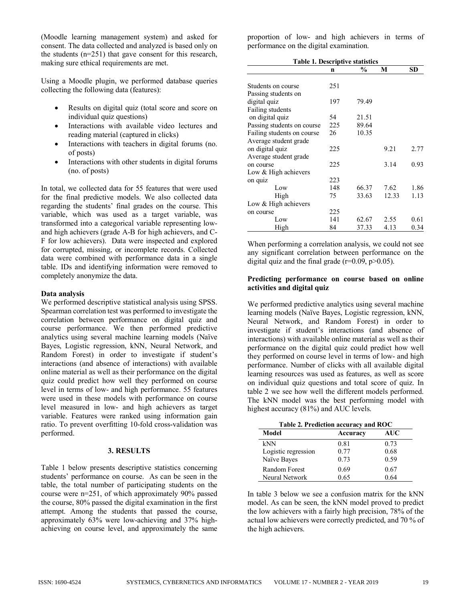(Moodle learning management system) and asked for consent. The data collected and analyzed is based only on the students (n=251) that gave consent for this research, making sure ethical requirements are met.

Using a Moodle plugin, we performed database queries collecting the following data (features):

- Results on digital quiz (total score and score on individual quiz questions)
- Interactions with available video lectures and reading material (captured in clicks)
- Interactions with teachers in digital forums (no. of posts)
- Interactions with other students in digital forums (no. of posts)

In total, we collected data for 55 features that were used for the final predictive models. We also collected data regarding the students' final grades on the course. This variable, which was used as a target variable, was transformed into a categorical variable representing lowand high achievers (grade A-B for high achievers, and C-F for low achievers). Data were inspected and explored for corrupted, missing, or incomplete records. Collected data were combined with performance data in a single table. IDs and identifying information were removed to completely anonymize the data.

#### **Data analysis**

We performed descriptive statistical analysis using SPSS. Spearman correlation test was performed to investigate the correlation between performance on digital quiz and course performance. We then performed predictive analytics using several machine learning models (Naïve Bayes, Logistic regression, kNN, Neural Network, and Random Forest) in order to investigate if student's interactions (and absence of interactions) with available online material as well as their performance on the digital quiz could predict how well they performed on course level in terms of low- and high performance. 55 features were used in these models with performance on course level measured in low- and high achievers as target variable. Features were ranked using information gain ratio. To prevent overfitting 10-fold cross-validation was performed.

# **3. RESULTS**

Table 1 below presents descriptive statistics concerning students' performance on course. As can be seen in the table, the total number of participating students on the course were n=251, of which approximately 90% passed the course, 80% passed the digital examination in the first attempt. Among the students that passed the course, approximately 63% were low-achieving and 37% highachieving on course level, and approximately the same proportion of low- and high achievers in terms of performance on the digital examination.

| <b>Table 1. Descriptive statistics</b> |     |               |       |           |
|----------------------------------------|-----|---------------|-------|-----------|
|                                        | n   | $\frac{6}{9}$ | М     | <b>SD</b> |
| Students on course                     | 251 |               |       |           |
| Passing students on                    |     |               |       |           |
| digital quiz                           | 197 | 79.49         |       |           |
| Failing students                       |     |               |       |           |
| on digital quiz                        | 54  | 21.51         |       |           |
| Passing students on course             | 225 | 89.64         |       |           |
| Failing students on course             | 26  | 10.35         |       |           |
| Average student grade                  |     |               |       |           |
| on digital quiz                        | 225 |               | 9.21  | 2.77      |
| Average student grade                  |     |               |       |           |
| on course                              | 225 |               | 3.14  | 0.93      |
| Low & High achievers                   |     |               |       |           |
| on quiz                                | 223 |               |       |           |
| Low                                    | 148 | 66.37         | 7.62  | 1.86      |
| High                                   | 75  | 33.63         | 12.33 | 1.13      |
| Low & High achievers                   |     |               |       |           |
| on course                              | 225 |               |       |           |
| Low                                    | 141 | 62.67         | 2.55  | 0.61      |
| High                                   | 84  | 37.33         | 4.13  | 0.34      |

When performing a correlation analysis, we could not see any significant correlation between performance on the digital quiz and the final grade  $(r=0.09, p>0.05)$ .

# **Predicting performance on course based on online activities and digital quiz**

We performed predictive analytics using several machine learning models (Naïve Bayes, Logistic regression, kNN, Neural Network, and Random Forest) in order to investigate if student's interactions (and absence of interactions) with available online material as well as their performance on the digital quiz could predict how well they performed on course level in terms of low- and high performance. Number of clicks with all available digital learning resources was used as features, as well as score on individual quiz questions and total score of quiz. In table 2 we see how well the different models performed. The kNN model was the best performing model with highest accuracy (81%) and AUC levels.

| Table 2. Prediction accuracy and ROC |          |            |  |  |
|--------------------------------------|----------|------------|--|--|
| Model                                | Accuracy | <b>AUC</b> |  |  |
| kNN                                  | 0.81     | 0.73       |  |  |
| Logistic regression                  | 0.77     | 0.68       |  |  |
| Naïve Bayes                          | 0.73     | 0.59       |  |  |
| Random Forest                        | 0.69     | 0.67       |  |  |
| Neural Network                       | 0.65     | 0 64       |  |  |

In table 3 below we see a confusion matrix for the kNN model. As can be seen, the kNN model proved to predict the low achievers with a fairly high precision, 78% of the actual low achievers were correctly predicted, and 70 % of the high achievers.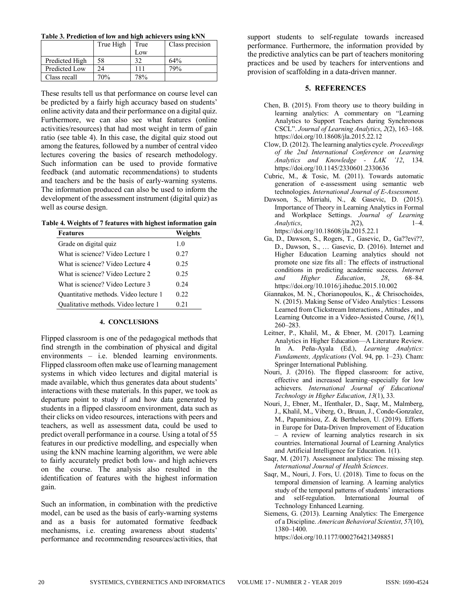| Table 3. Prediction of low and high achievers using kNN |  |  |
|---------------------------------------------------------|--|--|
|                                                         |  |  |

|                | True High | True | Class precision |
|----------------|-----------|------|-----------------|
|                |           | Low  |                 |
| Predicted High | 58        |      | 64%             |
| Predicted Low  | 24        | 111  | 79%             |
| Class recall   | 70%       | 78%  |                 |

These results tell us that performance on course level can be predicted by a fairly high accuracy based on students' online activity data and their performance on a digital quiz. Furthermore, we can also see what features (online activities/resources) that had most weight in term of gain ratio (see table 4). In this case, the digital quiz stood out among the features, followed by a number of central video lectures covering the basics of research methodology. Such information can be used to provide formative feedback (and automatic recommendations) to students and teachers and be the basis of early-warning systems. The information produced can also be used to inform the development of the assessment instrument (digital quiz) as well as course design.

|  |  |  | Table 4. Weights of 7 features with highest information gain |  |
|--|--|--|--------------------------------------------------------------|--|
|  |  |  |                                                              |  |

| <b>Features</b>                       | Weights |
|---------------------------------------|---------|
| Grade on digital quiz                 | 10      |
| What is science? Video Lecture 1      | 0.27    |
| What is science? Video Lecture 4      | 0.25    |
| What is science? Video Lecture 2      | 0.25    |
| What is science? Video Lecture 3      | 0.24    |
| Quantitative methods. Video lecture 1 | 0.22    |
| Qualitative methods. Video lecture 1  | 0.21    |

#### **4. CONCLUSIONS**

Flipped classroom is one of the pedagogical methods that find strength in the combination of physical and digital environments – i.e. blended learning environments. Flipped classroom often make use of learning management systems in which video lectures and digital material is made available, which thus generates data about students' interactions with these materials. In this paper, we took as departure point to study if and how data generated by students in a flipped classroom environment, data such as their clicks on video resources, interactions with peers and teachers, as well as assessment data, could be used to predict overall performance in a course. Using a total of 55 features in our predictive modelling, and especially when using the kNN machine learning algorithm, we were able to fairly accurately predict both low- and high achievers on the course. The analysis also resulted in the identification of features with the highest information gain.

Such an information, in combination with the predictive model, can be used as the basis of early-warning systems and as a basis for automated formative feedback mechanisms, i.e. creating awareness about students' performance and recommending resources/activities, that support students to self-regulate towards increased performance. Furthermore, the information provided by the predictive analytics can be part of teachers monitoring practices and be used by teachers for interventions and provision of scaffolding in a data-driven manner.

#### **5. REFERENCES**

- Chen, B. (2015). From theory use to theory building in learning analytics: A commentary on "Learning Analytics to Support Teachers during Synchronous CSCL". *Journal of Learning Analytics*, *2*(2), 163–168. https://doi.org/10.18608/jla.2015.22.12
- Clow, D. (2012). The learning analytics cycle. *Proceedings of the 2nd International Conference on Learning Analytics and Knowledge - LAK '12*, 134. https://doi.org/10.1145/2330601.2330636
- Cubric, M., & Tosic, M. (2011). Towards automatic generation of e-assessment using semantic web technologies. *International Journal of E-Assessment*.
- Dawson, S., Mirriahi, N., & Gasevic, D. (2015). Importance of Theory in Learning Analytics in Formal and Workplace Settings. *Journal of Learning Analytics*, *2*(2), 1–4. https://doi.org/10.18608/jla.2015.22.1
- Ga, D., Dawson, S., Rogers, T., Gasevic, D., Ga??evi??, D., Dawson, S., … Gasevic, D. (2016). Internet and Higher Education Learning analytics should not promote one size fits all : The effects of instructional conditions in predicting academic success. *Internet and Higher Education*, *28*, 68–84. https://doi.org/10.1016/j.iheduc.2015.10.002
- Giannakos, M. N., Chorianopoulos, K., & Chrisochoides, N. (2015). Making Sense of Video Analytics: Lessons Learned from Clickstream Interactions, Attitudes, and Learning Outcome in a Video-Assisted Course, *16*(1), 260–283.
- Leitner, P., Khalil, M., & Ebner, M. (2017). Learning Analytics in Higher Education—A Literature Review. In A. Peña-Ayala (Ed.), *Learning Analytics: Fundaments, Applications* (Vol. 94, pp. 1–23). Cham: Springer International Publishing.
- Nouri, J. (2016). The flipped classroom: for active, effective and increased learning–especially for low achievers. *International Journal of Educational Technology in Higher Education*, *13*(1), 33.
- Nouri, J., Ebner, M., Ifenthaler, D., Saqr, M., Malmberg, J., Khalil, M., Viberg, O., Bruun, J., Conde-Gonzalez, M., Papamitsiou, Z. & Berthelsen, U. (2019). Efforts in Europe for Data-Driven Improvement of Education – A review of learning analytics research in six countries. International Journal of Learning Analytics and Artificial Intelligence for Education. 1(1).
- Saqr, M. (2017). Assessment analytics: The missing step. *International Journal of Health Sciences*.
- Saqr, M., Nouri, J. Fors, U. (2018). Time to focus on the temporal dimension of learning. A learning analytics study of the temporal patterns of students' interactions and self-regulation. International Journal of Technology Enhanced Learning.
- Siemens, G. (2013). Learning Analytics: The Emergence of a Discipline. *American Behavioral Scientist*, *57*(10), 1380–1400.

https://doi.org/10.1177/0002764213498851